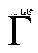## 66

## شماره ی ۲۲، بهار ر ۱۳۸۸

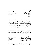www.gammajournal.ir

 $\overline{\mathsf{K}}$ 

**ISSN 1735.1286** 

## به نام خدا

**•** گاما فصل نامه ای است به زبان فارسی، در باره ی فیزیک. آن چه در گاما منتشر می شود بیش تر مقالهها ی ِ آموزشی، در زمینه ی ِ فرهنگ یا تاریخ ِ ِ فیزیک، یا در مورد ِ مسائل ِ فیزیک در ایران است، و قرار است جنبه ی ِ آموزشی و فرهنگی داشته باشد و برای دانشجویان ِ فیزیک یا دانش آموخته گان \_ فیزیک ، یا دستِکم بخش ی از آنها قابلاستفاده باشد. • مقالههای گاما نوعاً تألیفی اند. سعی بر این است که فقط مقالهها ی ِ کلاسیک ِ فیزیک، و نوشتهها ی ِ فیزیکپیشهها ی ِ بزرگ ترجمه شود. اگر می خواهید چیز ی را ترجمه کنید، لطفاً اول با هیئت \_ ویراستاران تماس بگیرید. • برا ی ِ تماس با گاما، و از جمله فرستادن ِ مقاله، لطفاً با یک ی از ویراستاران ِ گاما تماس بگیرید. • پذیرش ِ مقاله با هیئت ِ ویراستاران و بر اساس ِ روش ِ متداول ِ داوری توسّط ِ داور ِ ناشناس است. هیئت <sub>-</sub> ویراستاران یا مقاله را میپذیرد، یا رد میکند، امّا هرگز در نوشته ی ِ نویسنده دخل و تصرّف ی نمیکند. اگر به نظر ِ داور تغییر ی در مقاله لازم باشد، اعمال ِ این تغییر با خود ِ نویسنده(ها) است. • مقاله ی پذیرفته شده، پیش از چاپ، بر اساس به آخرین نسخه ای که نویسنده فرستاده حروفچینی می،شود و یس از تأیید <sub>-</sub> نویسنده است که چاپ می،ود. • © تمام ِ حقوق ِ مادّي و معنوي ي ِ آن چه در گاما منتشر ميشود متعلق است به گاما، مگر در موارد ی که صراحتاً مشخّص شده باشد.

ويراستاران: • امير \_ آقامحمّدي، دانش گاه \_ الزّهرا، تهران a\_aghamohammadi@yahoo.com • احمد ِ شریعتی (سردبیر)، دانشگاه ِ الزّهرا، تهران shariati@mailaps.org • عزیزاله ِ شفیعخانی، دانشگاه ِ الزّهرا، تهران ashafie@ipm.ir • امیرحسین ِ فتحاللهی، دانشگاه ِ الزّهرا، تهران ahfatol@gmail.com

شمارگان : ۱۰۰۰ نسخه  $^1$ تاريخ \_ انتشار ١٣٨٨/١٥/٢٥ قيمت ٥٥٥ تومان. <sup>1</sup> ليتوگرافي، چاپ، و صحافي: سازمان چاپ و انتشارات وزارت فرهنگ و ارشاد اسلامي.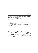www.gammajournal.ir and interventional interventional interventional interventional interventional intervention in  $\sim$  11735.1286

Gamma is a quarterly Persian magazine, devoted to educational and cultural articles in physics. Gamma is not a research journal.

Address: Gamma, P. O. Box 633, Tehran 19935, IRAN.

 $\odot$  2004 - 2009, Gamma, all rights reserved.

## **Editors**

• A. Aghamohammadi Prof. of Physics, Alzahra University, Tehran 19938-91167, Iran. a aghamohammadi@yahoo.com

• A. H. Fatollahi Asoc. Prof. of Physics, Alzahra University, Tehran 19938-91167, Iran. ahfatol@gmail.com

• A. Shafikhani Asoc. Prof. of Physics, Alzahra University, Tehran 19938-91167, Iran. ashafie@ipm.ir

• A. Shariati Asoc. Prof. of Physics, Alzahra University, Tehran 19938-91167, Iran. shariati@mailaps.org

اشتراک (چهار شماره) عادی ۱۰۰۰ تومان، دانشجویی ۲۰۰۰ تومان، م  $\sim$   $\sim$   $\sim$   $\sim$   $\sim$   $\sim$ ر سے اس میں اور اس کا اس کا اس کا اس کا ان کا اس کا اس کا اس کا اس کا اس کا اس کا اس کا اس کا اس کا اس کا اس ک -5\$ &-Q( A 0

برا ی ِ اشتراک ، پول ِ اشتراک را به حساب ِ سیبا، شماره ی 2001 3991 03 03 0 ، به نام ِ احمد شريعتي، (يا كارت 7783 1041 9911 6037) بريزيد. اصل ِ رسيد ِ بانك را پيش ِ خود نگه داريد، و J NHlk - (  ( C 5 V 5E - 2F""#4 Ve& - ;- 2 F) #\$ V ?- حة وارير شمه است. ١/ اسم و تشايع الي تا من التعريف الي مجلة الصف حلا اليسني (العلم بتويسية).